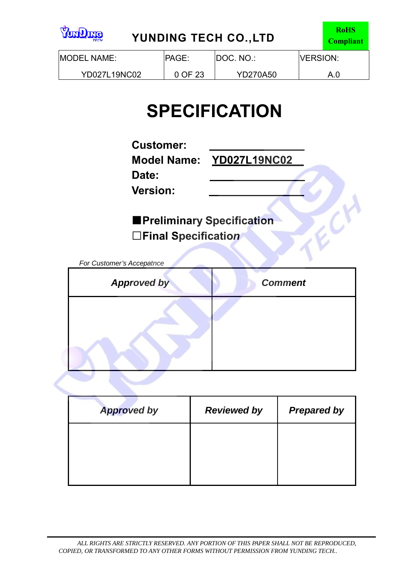| <b>emQno<sup>y</sup></b><br><b>YUNDING TECH CO., LTD</b><br><b>TECH</b> |                                                |  |  |  |  |  |
|-------------------------------------------------------------------------|------------------------------------------------|--|--|--|--|--|
| <b>IMODEL NAME:</b>                                                     | <b>IPAGE:</b><br>DOC. NO.:<br><b>IVERSION:</b> |  |  |  |  |  |
| YD027L19NC02                                                            | 0 OF 23<br><b>YD270A50</b>                     |  |  |  |  |  |

# **SPECIFICATION**

**Customer:** 

**Date:** 

**Model Name: YD027L19NC02** 

ECH

**Version:** 

**■Preliminary Specification □Final Specificatio***<sup>n</sup>*

*For Customer's Accepatnce*

| <b>Approved by</b> | <b>Comment</b> |
|--------------------|----------------|
|                    |                |

| <b>Approved by</b> | <b>Reviewed by</b> | <b>Prepared by</b> |
|--------------------|--------------------|--------------------|
|                    |                    |                    |
|                    |                    |                    |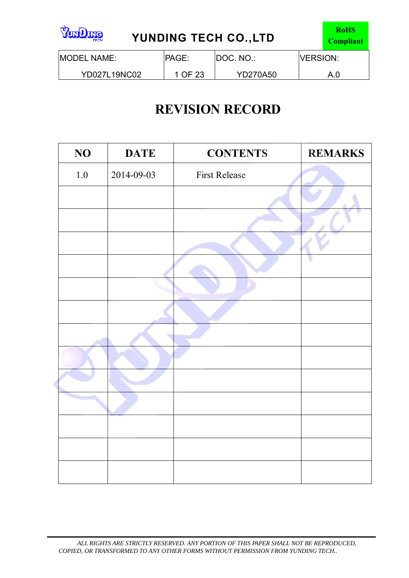| <b>Standard</b><br>YUNDING TECH CO., LTD<br><b>TECH</b> | <b>RoHS</b><br><b>Compliant</b>                 |                 |  |     |
|---------------------------------------------------------|-------------------------------------------------|-----------------|--|-----|
| <b>IMODEL NAME:</b>                                     | IDOC. NO.:<br><b>IPAGE:</b><br><b>IVERSION:</b> |                 |  |     |
| YD027L19NC02                                            | 1 OF 23                                         | <b>YD270A50</b> |  | A.O |

# **REVISION RECORD**

| NO      | <b>DATE</b> | <b>CONTENTS</b>      | <b>REMARKS</b> |
|---------|-------------|----------------------|----------------|
| $1.0\,$ | 2014-09-03  | <b>First Release</b> |                |
|         |             |                      |                |
|         |             |                      |                |
|         |             |                      |                |
|         |             |                      |                |
|         |             |                      |                |
|         |             |                      |                |
|         |             |                      |                |
|         |             |                      |                |
|         |             |                      |                |
|         |             |                      |                |
|         |             |                      |                |
|         |             |                      |                |
|         |             |                      |                |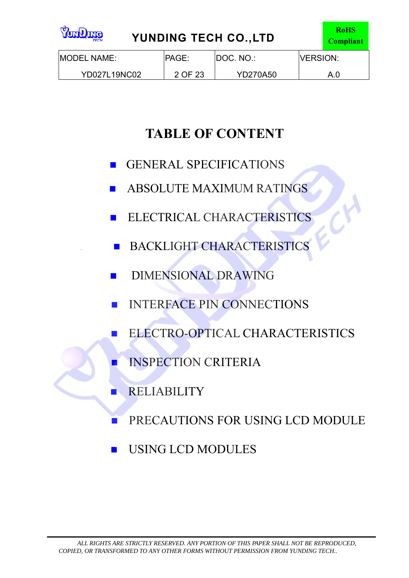| <b>Standard</b><br><b>YUNDING TECH CO., LTD</b><br><b>TECH</b> |                  |                 |  |     |  |  |
|----------------------------------------------------------------|------------------|-----------------|--|-----|--|--|
| <b>IMODEL NAME:</b>                                            | <b>IVERSION:</b> |                 |  |     |  |  |
| <b>YD027L19NC02</b>                                            | 2 OF 23          | <b>YD270A50</b> |  | A.0 |  |  |

# **TABLE OF CONTENT**

- GENERAL SPECIFICATIONS
- ABSOLUTE MAXIMUM RATINGS
- ELECTRICAL CHARACTERISTICS
- **BACKLIGHT CHARACTERISTICS**
- **DIMENSIONAL DRAWING**
- **INTERFACE PIN CONNECTIONS**
- **ELECTRO-OPTICAL CHARACTERISTICS** 
	- INSPECTION CRITERIA
- RELIABILITY
- **PRECAUTIONS FOR USING LCD MODULE**
- USING LCD MODULES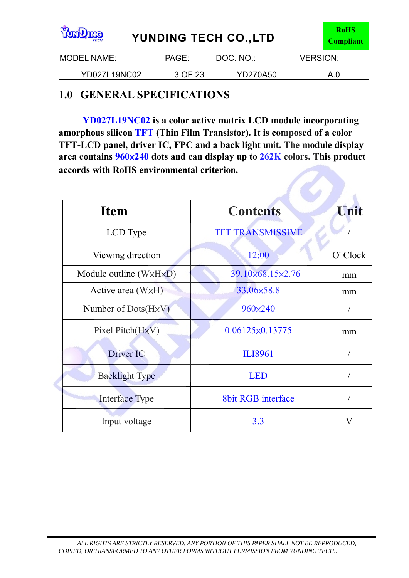| <b>emQrad</b><br>YUNDING TECH CO., LTD<br><b>TECH</b> |                                                |                 |  |     |  |  |
|-------------------------------------------------------|------------------------------------------------|-----------------|--|-----|--|--|
| <b>IMODEL NAME:</b>                                   | IDOC. NO.:<br><b>IVERSION:</b><br><b>PAGE:</b> |                 |  |     |  |  |
| YD027L19NC02                                          | 3 OF 23                                        | <b>YD270A50</b> |  | A.0 |  |  |

### **1.0 GENERAL SPECIFICATIONS**

**YD027L19NC02 is a color active matrix LCD module incorporating amorphous silicon TFT (Thin Film Transistor). It is composed of a color TFT-LCD panel, driver IC, FPC and a back light unit. The module display area contains 960**×**240 dots and can display up to 262K colors. This product accords with RoHS environmental criterion.**

| <b>Item</b>                            | <b>Contents</b>           | Unit     |
|----------------------------------------|---------------------------|----------|
| LCD Type                               | <b>TFT TRANSMISSIVE</b>   |          |
| Viewing direction                      | 12:00                     | O' Clock |
| Module outline $(W \times H \times D)$ | 39.10×68.15×2.76          | mm       |
| Active area $(W \times H)$             | 33.06×58.8                | mm       |
| Number of $Dots(HxV)$                  | 960×240                   |          |
| Pixel Pitch(HxV)                       | $0.06125 \times 0.13775$  | mm       |
| Driver IC                              | ILI8961                   |          |
| <b>Backlight Type</b>                  | <b>LED</b>                |          |
| <b>Interface Type</b>                  | <b>8bit RGB</b> interface |          |
| Input voltage                          | 3.3                       |          |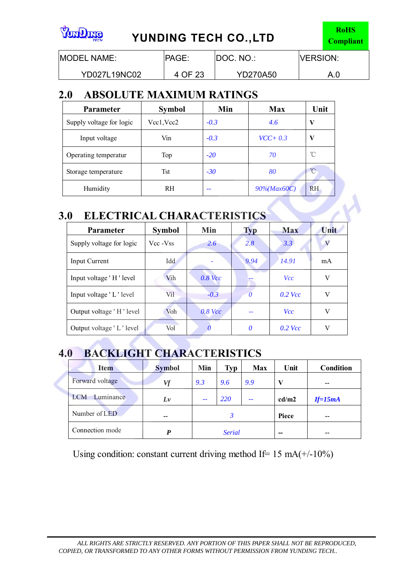| <b>emQno<sup>o</sup></b><br><b>YUNDING TECH CO., LTD</b><br><b>TECH</b> | <b>RoHS</b><br><b>Compliant</b>                |  |  |  |  |  |
|-------------------------------------------------------------------------|------------------------------------------------|--|--|--|--|--|
| MODEL NAME:                                                             | IDOC. NO.:<br><b>IVERSION:</b><br><b>PAGE:</b> |  |  |  |  |  |
| YD027L19NC02                                                            | 4 OF 23<br><b>YD270A50</b><br>A.0              |  |  |  |  |  |

### **2.0 ABSOLUTE MAXIMUM RATINGS**

| <b>Parameter</b>         | <b>Symbol</b> | Min    | Max                 | Unit           |
|--------------------------|---------------|--------|---------------------|----------------|
| Supply voltage for logic | Vcc1, Vcc2    | $-0.3$ | 4.6                 | V              |
| Input voltage            | Vin           | $-0.3$ | $VCC + 0.3$         | V              |
| Operating temperatur     | Top           | $-20$  | 70                  | °C             |
| Storage temperature      | <b>Tst</b>    | $-30$  | 80                  | $^{\circ}$ C   |
| Humidity                 | <b>RH</b>     |        | $90\%$ (Max $60C$ ) | R <sub>H</sub> |

### **3.0 ELECTRICAL CHARACTERISTICS**

| <b>Parameter</b>         | <b>Symbol</b> | Min       | <b>Typ</b> | <b>Max</b> | Unit |
|--------------------------|---------------|-----------|------------|------------|------|
| Supply voltage for logic | Vcc - Vss     | 2.6       | 2.8        | 3.3        | V    |
| Input Current            | Idd           |           | 9.94       | 14.91      | mA   |
| Input voltage 'H' level  | Vih           | $0.8$ Vcc |            | <b>Vcc</b> | V    |
| Input voltage 'L' level  | Vil           | $-0.3$    | 0          | $0.2$ Vcc  | V    |
| Output voltage 'H' level | Voh           | $0.8$ Vcc |            | <b>Vcc</b> | V    |
| Output voltage 'L' level | Vol           |           | 0          | $0.2$ Vcc  | V    |

# **4.0 BACKLIGHT CHARACTERISTICS**

| <b>Item</b>             | <b>Symbol</b> | Min | Typ           | <b>Max</b>    | Unit  | <b>Condition</b> |
|-------------------------|---------------|-----|---------------|---------------|-------|------------------|
| Forward voltage         | Vf            | 9.3 | 9.6           | 9.9           | V     | --               |
| Luminance<br><b>LCM</b> | $L\nu$        | $-$ | <b>220</b>    | $\sim$ $\sim$ | cd/m2 | $If=15mA$        |
| Number of LED           | $- -$         |     | 3             |               | Piece | --               |
| Connection mode         | P             |     | <b>Serial</b> |               | $- -$ | --               |

Using condition: constant current driving method If=  $15 \text{ mA}$ (+/-10%)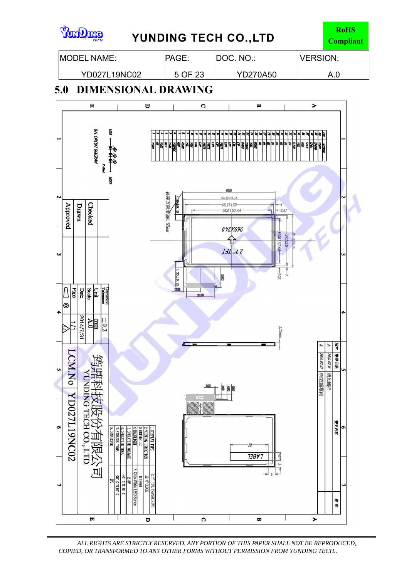

*ALL RIGHTS ARE STRICTLY RESERVED. ANY PORTION OF THIS PAPER SHALL NOT BE REPRODUCED, COPIED, OR TRANSFORMED TO ANY OTHER FORMS WITHOUT PERMISSION FROM YUNDING TECH..*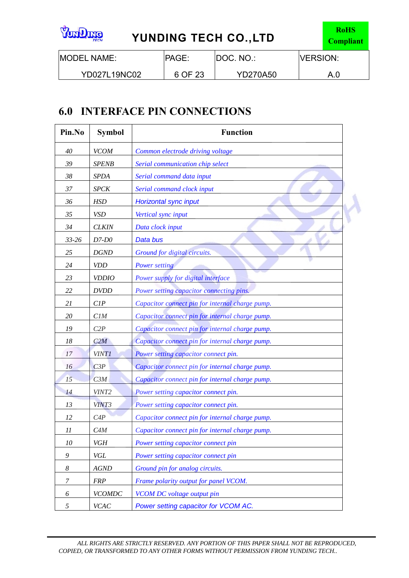| <b>Continue</b><br>YUNDING TECH CO., LTD<br><b>TECH</b> |         |                 |                  |     |
|---------------------------------------------------------|---------|-----------------|------------------|-----|
| <b>IMODEL NAME:</b>                                     | PAGE:   | DOC. NO.:       | <b>IVERSION:</b> |     |
| <b>YD027L19NC02</b>                                     | 6 OF 23 | <b>YD270A50</b> |                  | A.0 |

# **6.0 INTERFACE PIN CONNECTIONS**

| Pin.No    | <b>Symbol</b>     | <b>Function</b>                                 |
|-----------|-------------------|-------------------------------------------------|
| 40        | <b>VCOM</b>       | Common electrode driving voltage                |
| 39        | <b>SPENB</b>      | Serial communication chip select                |
| 38        | <b>SPDA</b>       | Serial command data input                       |
| 37        | <b>SPCK</b>       | Serial command clock input                      |
| 36        | <b>HSD</b>        | Horizontal sync input                           |
| 35        | <b>VSD</b>        | Vertical sync input                             |
| 34        | <b>CLKIN</b>      | Data clock input                                |
| $33 - 26$ | $D7-D0$           | Data bus                                        |
| 25        | <b>DGND</b>       | Ground for digital circuits.                    |
| 24        | <b>VDD</b>        | <b>Power setting</b>                            |
| 23        | <b>VDDIO</b>      | Power supply for digital interface              |
| 22        | <b>DVDD</b>       | Power setting capacitor connecting pins.        |
| 21        | CIP               | Capacitor connect pin for internal charge pump. |
| 20        | CIM               | Capacitor connect pin for internal charge pump. |
| 19        | C2P               | Capacitor connect pin for internal charge pump. |
| 18        | C2M               | Capacitor connect pin for internal charge pump. |
| 17        | <b>VINT1</b>      | Power setting capacitor connect pin.            |
| 16        | C3P               | Capacitor connect pin for internal charge pump. |
| 15        | C3M               | Capacitor connect pin for internal charge pump. |
| 14        | VINT <sub>2</sub> | Power setting capacitor connect pin.            |
| 13        | VINT3             | Power setting capacitor connect pin.            |
| 12        | C4P               | Capacitor connect pin for internal charge pump. |
| 11        | C4M               | Capacitor connect pin for internal charge pump. |
| 10        | VGH               | Power setting capacitor connect pin             |
| 9         | VGL               | Power setting capacitor connect pin             |
| 8         | <b>AGND</b>       | Ground pin for analog circuits.                 |
| 7         | <b>FRP</b>        | Frame polarity output for panel VCOM.           |
| 6         | <b>VCOMDC</b>     | VCOM DC voltage output pin                      |
| 5         | <b>VCAC</b>       | Power setting capacitor for VCOM AC.            |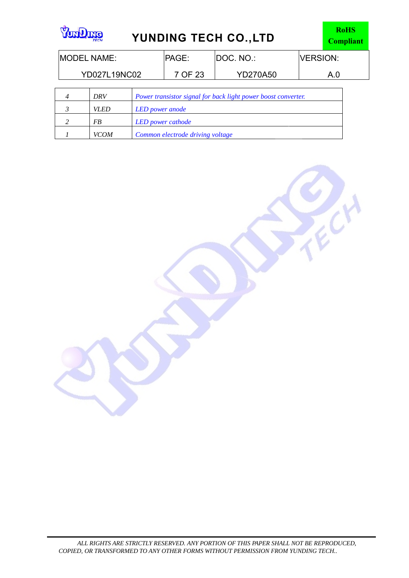| emuno<br><b>YUNDING TECH CO., LTD</b><br><b>TECH</b>                 |  |         |                 |           | <b>RoHS</b><br><b>Compliant</b> |  |
|----------------------------------------------------------------------|--|---------|-----------------|-----------|---------------------------------|--|
| <b>MODEL NAME:</b>                                                   |  |         | <b>PAGE:</b>    | DOC. NO.: | <b>VERSION:</b>                 |  |
| YD027L19NC02                                                         |  | 7 OF 23 | <b>YD270A50</b> | A.0       |                                 |  |
| Power transistor signal for back light power boost converter.<br>DRV |  |         |                 |           |                                 |  |

FECH

| ∸ | 1JNV        | <b>FOWER TRANSISION SIGNAL JOY DACK HIGHLI DOWER DOOST CONVENIER.</b> |
|---|-------------|-----------------------------------------------------------------------|
|   | VI FD       | <b>LED</b> power anode                                                |
|   | FB          | LED power cathode                                                     |
|   | <b>VCOM</b> | Common electrode driving voltage                                      |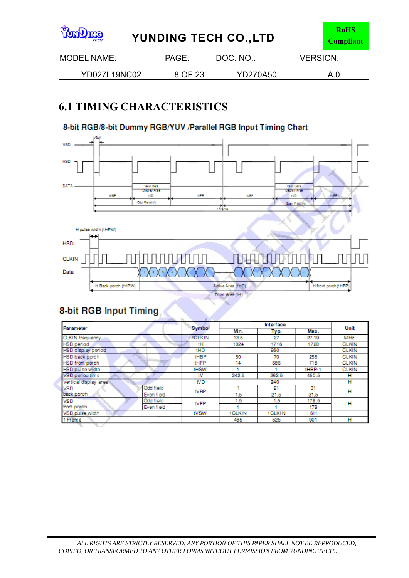| <b>Surfaction</b><br><b>YUNDING TECH CO., LTD</b><br><b>TECH</b> |              |                 |                 |     |
|------------------------------------------------------------------|--------------|-----------------|-----------------|-----|
| <b>IMODEL NAME:</b>                                              | <b>PAGE:</b> | DOC. NO.:       | <b>VERSION:</b> |     |
| YD027L19NC02                                                     | 8 OF 23      | <b>YD270A50</b> |                 | A.0 |

# **6.1 TIMING CHARACTERISTICS**

### 8-bit RGB/8-bit Dummy RGB/YUV /Parallel RGB Input Timing Chart



### 8-bit RGB Input Timing

|                           |                 | Interface |         |        |              |
|---------------------------|-----------------|-----------|---------|--------|--------------|
| <b>Parameter</b>          | Symbol          | Min.      | Typ.    | Max.   | Unit         |
| <b>CLKIN</b> frequency    | <b>ICLKIN</b>   | 13.5      | 27      | 27.19  | MHz          |
| <b>HSD</b> period         | tH              | 1024      | 1716    | 1728   | <b>CLKIN</b> |
| HSD display period        | tHD             |           | 960     |        | <b>CLKIN</b> |
| HSD back porch            | <b>tHBP</b>     | 50        | 70      | 255    | <b>CLKIN</b> |
| HSD front porch           | tHFP            | 14        | 686     | 718    | <b>CLKIN</b> |
| HSD pulse width           | <b>tHSW</b>     |           |         | tHBP-1 | <b>CLKIN</b> |
| VSD period time           | tV              | 242.5     | 262.5   | 450.5  | н            |
| Vertical display area     | fV <sub>D</sub> |           | 240     |        | н            |
| Odd field<br><b>VSD</b>   | <b>tVBP</b>     |           | 21      | 31     | н            |
| back porch<br>Even field  |                 | 1.5       | 21.5    | 31.5   |              |
| Odd field<br><b>VSD</b>   | <b>tVFP</b>     | 1.5       | 1.5     | 179.5  | н            |
| front porch<br>Even field |                 |           |         | 179    |              |
| VSD pulse width           | tVSW            | 1 CLKIN   | 1 CLKIN | 6H     |              |
| 1 Frame                   |                 | 485       | 525     | 901    | н            |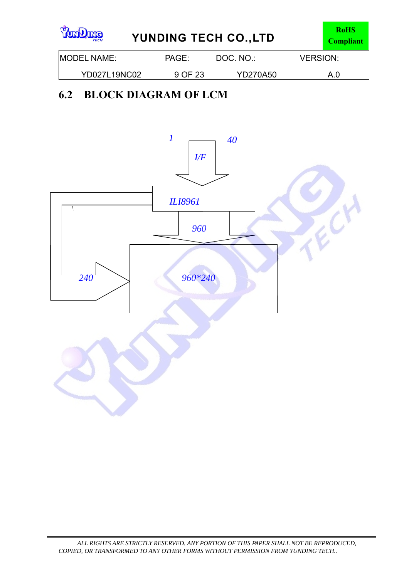| <b>SunQme</b><br><b>TECH</b> | YUNDING TECH CO., LTD |                 |                  |     |  |
|------------------------------|-----------------------|-----------------|------------------|-----|--|
| <b>IMODEL NAME:</b>          | <b>PAGE:</b>          | DOC. NO.:       | <b>IVERSION:</b> |     |  |
| YD027L19NC02                 | 9 OF 23               | <b>YD270A50</b> |                  | A.0 |  |

# **6.2 BLOCK DIAGRAM OF LCM**

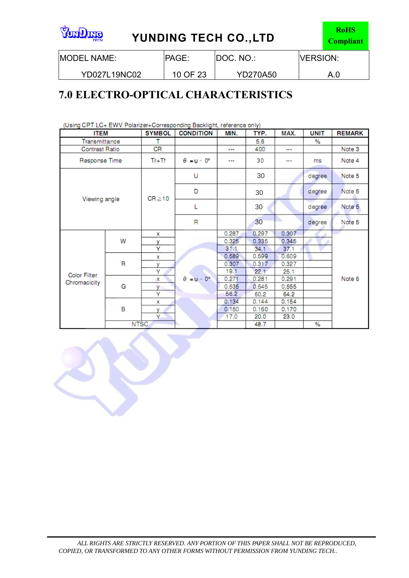| <b>emQno<sup>y</sup></b><br><b>YUNDING TECH CO., LTD</b><br><b>TECH</b> |              |                  |                  |     |
|-------------------------------------------------------------------------|--------------|------------------|------------------|-----|
| <b>IMODEL NAME:</b>                                                     | <b>PAGE:</b> | <b>DOC. NO.:</b> | <b>IVERSION:</b> |     |
| YD027L19NC02                                                            | 10 OF 23     | <b>YD270A50</b>  |                  | A.0 |

# **7.0 ELECTRO-OPTICAL CHARACTERISTICS**

|                       | (Using CPT LC+ EWV Polarizer+Corresponding Backlight, reference only) |               |                             |       |       |       |             |               |
|-----------------------|-----------------------------------------------------------------------|---------------|-----------------------------|-------|-------|-------|-------------|---------------|
| <b>ITEM</b>           |                                                                       | <b>SYMBOL</b> | <b>CONDITION</b>            | MIN.  | TYP.  | MAX.  | <b>UNIT</b> | <b>REMARK</b> |
| Transmittance         |                                                                       |               |                             |       | 5.6   |       | %           |               |
| <b>Contrast Ratio</b> |                                                                       | CR            |                             |       | 400   |       |             | Note 3        |
| Response Time         |                                                                       | $Tr+Tf$       | $\theta = \psi - 0^{\circ}$ |       | 30    |       | ms          | Note 4        |
|                       |                                                                       |               | U                           |       | 30    |       | degree      | Note 5        |
| Viewing angle         |                                                                       | $CR \ge 10$   | D                           |       | 30    |       | degree      | Note 5        |
|                       |                                                                       |               | L                           |       | 30    |       | degree      | Note 5        |
|                       |                                                                       |               | R                           |       | 30    |       | degree      | Note 5        |
|                       |                                                                       | x             |                             | 0.287 | 0.297 | 0.307 |             |               |
|                       | W                                                                     | ٧             |                             | 0.325 | 0.335 | 0.345 |             |               |
|                       |                                                                       | Ÿ             |                             | 31.1  | 34.1  | 37.1  |             |               |
|                       |                                                                       | x             |                             | 0.589 | 0.599 | 0.609 |             |               |
|                       | R                                                                     | v             |                             | 0.307 | 0.317 | 0.327 |             |               |
| <b>Color Filter</b>   |                                                                       | Ÿ             |                             | 19.1  | 22.1  | 25.1  |             |               |
| Chromacicity          |                                                                       | x             | $\theta = \psi - 0^{\circ}$ | 0.271 | 0.281 | 0.291 |             | Note 6        |
|                       | G<br>v<br>Y<br>x                                                      |               |                             | 0.535 | 0.545 | 0.555 |             |               |
|                       |                                                                       |               |                             | 56.2  | 60.2  | 64.2  |             |               |
|                       |                                                                       |               |                             | 0.134 | 0.144 | 0.154 |             |               |
|                       | B                                                                     | ٧             |                             | 0.150 | 0.160 | 0.170 |             |               |
|                       |                                                                       | Υ.            |                             | 17.0  | 20.0  | 23.0  |             |               |
|                       | <b>NTSC</b>                                                           |               |                             |       | 48.7  |       | %           |               |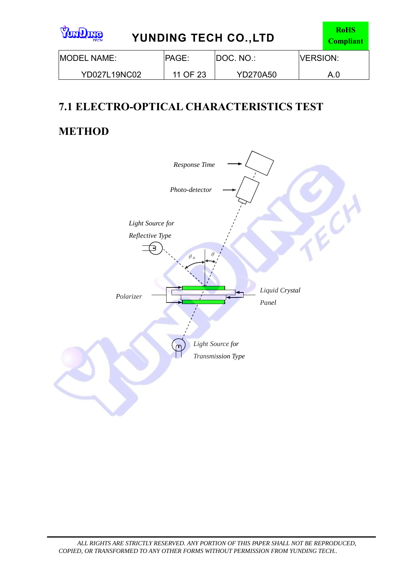| <b>emQraY</b><br><b>TECH</b> | YUNDING TECH CO., LTD |                 |                 |     |  |
|------------------------------|-----------------------|-----------------|-----------------|-----|--|
| <b>IMODEL NAME:</b>          | <b>IPAGE:</b>         | IDOC. NO.:      | <b>VERSION:</b> |     |  |
| <b>YD027L19NC02</b>          | 11 OF 23              | <b>YD270A50</b> |                 | A.0 |  |

# **7.1 ELECTRO-OPTICAL CHARACTERISTICS TEST**

# **METHOD**

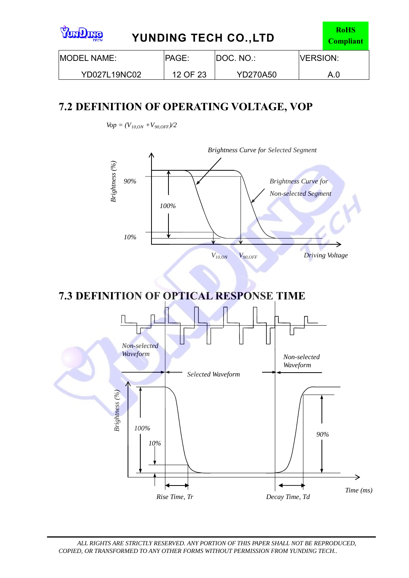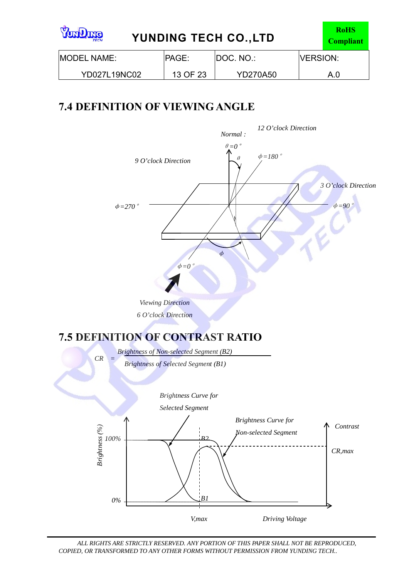| <b>emQraY</b><br>YUNDING TECH CO., LTD<br><b>TECH</b> | <b>RoHS</b><br><b>Compliant</b> |                 |                  |     |
|-------------------------------------------------------|---------------------------------|-----------------|------------------|-----|
| <b>MODEL NAME:</b>                                    | <b>IPAGE:</b>                   | IDOC. NO.:      | <b>IVERSION:</b> |     |
| <b>YD027L19NC02</b>                                   | 13 OF 23                        | <b>YD270A50</b> |                  | A.0 |

# **7.4 DEFINITION OF VIEWING ANGLE**

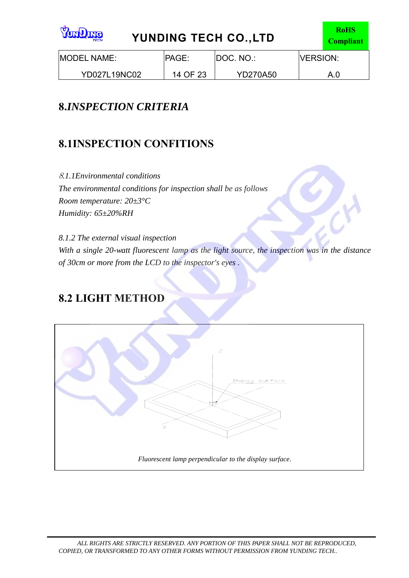| NVIN<br>۔۔۔ |
|-------------|
| Ή           |

# **YUNDING TECH CO.,LTD**

| <b>IMODEL NAME:</b> | <b>PAGE:</b> | IDOC. NO.:      | <b>IVERSION:</b> |
|---------------------|--------------|-----------------|------------------|
| YD027L19NC02        | 14 OF 23     | <b>YD270A50</b> | A.0              |

# **8.***INSPECTION CRITERIA*

# **8.1INSPECTION CONFITIONS**

<sup>8</sup>*.1.1Environmental conditions The environmental conditions for inspection shall be as follows Room temperature: 20±3°C Humidity: 65±20%RH*

*8.1.2 The external visual inspection With a single 20-watt fluorescent lamp as the light source, the inspection was in the distance of 30cm or more from the LCD to the inspector's eyes .*

### **8.2 LIGHT METHOD**

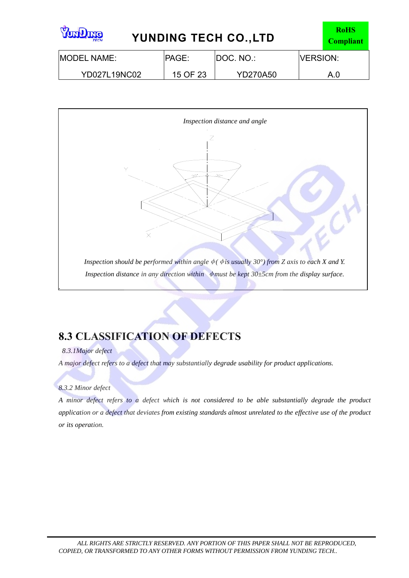| <b>Sunding</b><br><b>YUNDING TECH CO., LTD</b><br><b>TECH</b> |               |                  |                  |     |
|---------------------------------------------------------------|---------------|------------------|------------------|-----|
| <b>IMODEL NAME:</b>                                           | <b>IPAGE:</b> | <b>DOC. NO.:</b> | <b>IVERSION:</b> |     |
| YD027L19NC02                                                  | 15 OF 23      | <b>YD270A50</b>  |                  | A.0 |



## **8.3 CLASSIFICATION OF DEFECTS**

#### *8.3.1Major defect*

*A major defect refers to a defect that may substantially degrade usability for product applications.*

#### *8.3.2 Minor defect*

*A minor defect refers to a defect which is not considered to be able substantially degrade the product application or a defect that deviates from existing standards almost unrelated to the effective use of the product or its operation.*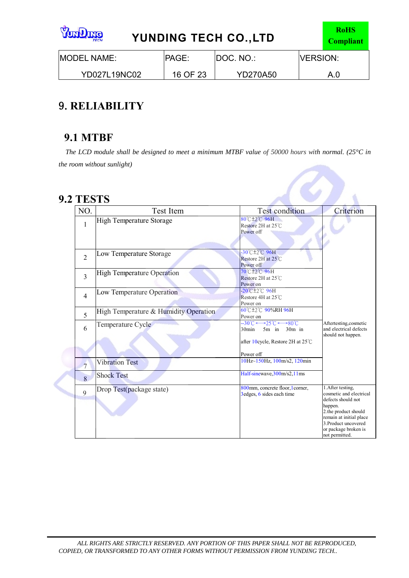| <b>SunQme</b><br><b>YUNDING TECH CO., LTD</b><br><b>TECH</b> |              |                 |                  |     |
|--------------------------------------------------------------|--------------|-----------------|------------------|-----|
| <b>IMODEL NAME:</b>                                          | <b>PAGE:</b> | DOC. NO.:       | <b>IVERSION:</b> |     |
| <b>YD027L19NC02</b>                                          | 16 OF 23     | <b>YD270A50</b> |                  | A.0 |

## 9.**RELIABILITY**

### **9.1 MTBF**

*The LCD module shall be designed to meet a minimum MTBF value of 50000 hours with normal. (25°C in the room without sunlight)*

### **9.2 TESTS**

è

| NO.            | Test Item                             | <b>Test condition</b>                                                                                                                                    | Criterion                                                                                                                                                                                          |
|----------------|---------------------------------------|----------------------------------------------------------------------------------------------------------------------------------------------------------|----------------------------------------------------------------------------------------------------------------------------------------------------------------------------------------------------|
| 1              | <b>High Temperature Storage</b>       | 80°C ± 2°C 96H<br>Restore 2H at 25℃<br>Power off                                                                                                         |                                                                                                                                                                                                    |
| $\overline{2}$ | Low Temperature Storage               | -30°C±2°C 96H<br>Restore 2H at 25°C<br>Power off                                                                                                         |                                                                                                                                                                                                    |
| 3              | <b>High Temperature Operation</b>     | 70℃±2℃ 96H<br>Restore 2H at 25°C<br>Power on                                                                                                             |                                                                                                                                                                                                    |
| $\overline{4}$ | Low Temperature Operation             | $-20^{\circ}$ C $\pm 2^{\circ}$ C $96H$<br>Restore 4H at 25°C<br>Power on                                                                                |                                                                                                                                                                                                    |
| 5              | High Temperature & Humidity Operation | 60°C±2°C 90%RH 96H<br>Power on                                                                                                                           |                                                                                                                                                                                                    |
| 6              | Temperature Cycle                     | $-30^{\circ}C \longrightarrow 25^{\circ}C \longrightarrow 80^{\circ}C$<br>$5m$ in $30m$ in<br>$30$ min<br>after 10cycle, Restore 2H at 25°C<br>Power off | Aftertesting, cosmetic<br>and electrical defects<br>should not happen.                                                                                                                             |
| $\overline{7}$ | <b>Vibration Test</b>                 | 10Hz~150Hz, 100m/s2, 120min                                                                                                                              |                                                                                                                                                                                                    |
| 8              | <b>Shock Test</b>                     | Half-sinewave, 300m/s2, 11ms                                                                                                                             |                                                                                                                                                                                                    |
| 9              | Drop Test(package state)              | 800mm, concrete floor, l corner,<br>3 edges, 6 sides each time                                                                                           | 1. After testing.<br>cosmetic and electrical<br>defects should not<br>happen.<br>2.the product should<br>remain at initial place<br>3. Product uncovered<br>or package broken is<br>not permitted. |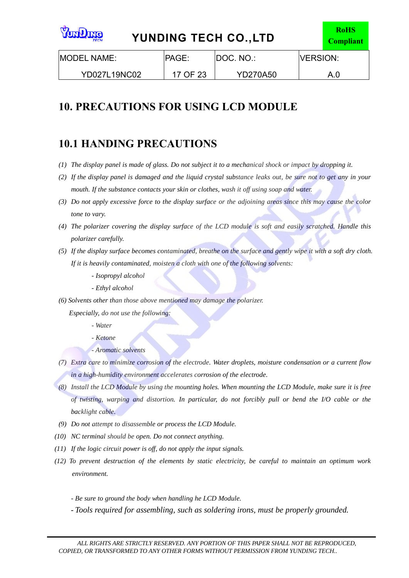| <b>Standard</b><br><b>YUNDING TECH CO., LTD</b><br><b>TECH</b> |               |                 |                  |     |
|----------------------------------------------------------------|---------------|-----------------|------------------|-----|
| <b>IMODEL NAME:</b>                                            | <b>IPAGE:</b> | IDOC. NO.:      | <b>IVERSION:</b> |     |
| <b>YD027L19NC02</b>                                            | 17 OF 23      | <b>YD270A50</b> |                  | A.0 |

# **10. PRECAUTIONS FOR USING LCD MODULE**

### **10.1 HANDING PRECAUTIONS**

- *(1) The display panel is made of glass. Do not subject it to a mechanical shock or impact by dropping it.*
- *(2) If the display panel is damaged and the liquid crystal substance leaks out, be sure not to get any in your mouth. If the substance contacts your skin or clothes, wash it off using soap and water.*
- *(3) Do not apply excessive force to the display surface or the adjoining areas since this may cause the color tone to vary.*
- *(4) The polarizer covering the display surface of the LCD module is soft and easily scratched. Handle this polarizer carefully.*
- *(5) If the display surface becomes contaminated, breathe on the surface and gently wipe it with a soft dry cloth. If it is heavily contaminated, moisten a cloth with one of the following solvents:*
	- *Isopropyl alcohol*
	- *Ethyl alcohol*
- *(6) Solvents other than those above mentioned may damage the polarizer.*

 *Especially, do not use the following:*

- *Water*
- *Ketone*
- *Aromatic solvents*
- *(7) Extra care to minimize corrosion of the electrode. Water droplets, moisture condensation or a current flow in a high-humidity environment accelerates corrosion of the electrode.*
- *(8) Install the LCD Module by using the mounting holes. When mounting the LCD Module, make sure it is free of twisting, warping and distortion. In particular, do not forcibly pull or bend the I/O cable or the backlight cable.*
- *(9) Do not attempt to disassemble or process the LCD Module.*
- *(10) NC terminal should be open. Do not connect anything.*
- *(11) If the logic circuit power is off, do not apply the input signals.*
- *(12) To prevent destruction of the elements by static electricity, be careful to maintain an optimum work environment.* 
	- *Be sure to ground the body when handling he LCD Module.*
	- *Tools required for assembling, such as soldering irons, must be properly grounded.*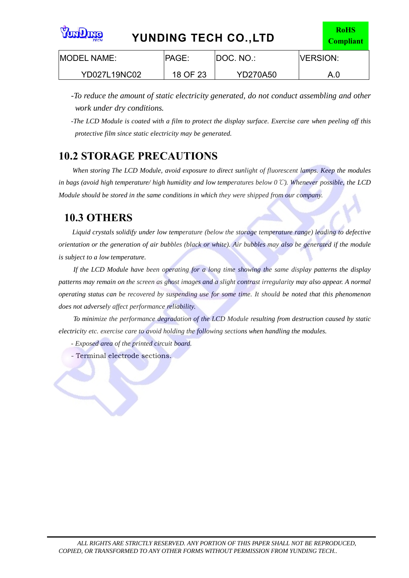| <b>SunQuare</b><br>YUNDING TECH CO., LTD<br><b>TECH</b> |               |                 |                  |     |
|---------------------------------------------------------|---------------|-----------------|------------------|-----|
| <b>IMODEL NAME:</b>                                     | <b>IPAGE:</b> | IDOC. NO.:      | <b>IVERSION:</b> |     |
| YD027L19NC02                                            | 18 OF 23      | <b>YD270A50</b> |                  | A.0 |

*-To reduce the amount of static electricity generated, do not conduct assembling and other work under dry conditions.*

*-The LCD Module is coated with a film to protect the display surface. Exercise care when peeling off this protective film since static electricity may be generated.* 

### **10.2 STORAGE PRECAUTIONS**

 *When storing The LCD Module, avoid exposure to direct sunlight of fluorescent lamps. Keep the modules in bags (avoid high temperature/ high humidity and low temperatures below 0*℃*). Whenever possible, the LCD Module should be stored in the same conditions in which they were shipped from our company.*

### **10.3 OTHERS**

*Liquid crystals solidify under low temperature (below the storage temperature range) leading to defective orientation or the generation of air bubbles (black or white). Air bubbles may also be generated if the module is subject to a low temperature.*

*If the LCD Module have been operating for a long time showing the same display patterns the display patterns may remain on the screen as ghost images and a slight contrast irregularity may also appear. A normal operating status can be recovered by suspending use for some time. It should be noted that this phenomenon does not adversely affect performance reliability.*

*To minimize the performance degradation of the LCD Module resulting from destruction caused by static electricity etc. exercise care to avoid holding the following sections when handling the modules.*

- *Exposed area of the printed circuit board.*
- Terminal electrode sections.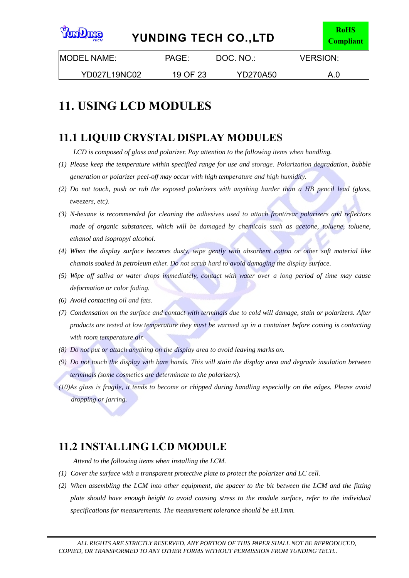| <b>Standard</b><br>YUNDING TECH CO., LTD<br><b>TECH</b> |              |                 |                  |     |
|---------------------------------------------------------|--------------|-----------------|------------------|-----|
| <b>IMODEL NAME:</b>                                     | <b>PAGE:</b> | IDOC. NO.:      | <b>IVERSION:</b> |     |
| YD027L19NC02                                            | 19 OF 23     | <b>YD270A50</b> |                  | A.0 |

# **11. USING LCD MODULES**

### **11.1 LIQUID CRYSTAL DISPLAY MODULES**

*LCD is composed of glass and polarizer. Pay attention to the following items when handling.*

- *(1) Please keep the temperature within specified range for use and storage. Polarization degradation, bubble generation or polarizer peel-off may occur with high temperature and high humidity.*
- *(2) Do not touch, push or rub the exposed polarizers with anything harder than a HB pencil lead (glass, tweezers, etc).*
- *(3) N-hexane is recommended for cleaning the adhesives used to attach front/rear polarizers and reflectors made of organic substances, which will be damaged by chemicals such as acetone, toluene, toluene, ethanol and isopropyl alcohol.*
- *(4) When the display surface becomes dusty, wipe gently with absorbent cotton or other soft material like chamois soaked in petroleum ether. Do not scrub hard to avoid damaging the display surface.*
- *(5) Wipe off saliva or water drops immediately, contact with water over a long period of time may cause deformation or color fading.*
- *(6) Avoid contacting oil and fats.*
- *(7) Condensation on the surface and contact with terminals due to cold will damage, stain or polarizers. After products are tested at low temperature they must be warmed up in a container before coming is contacting with room temperature air.*
- *(8) Do not put or attach anything on the display area to avoid leaving marks on.*
- *(9) Do not touch the display with bare hands. This will stain the display area and degrade insulation between terminals (some cosmetics are determinate to the polarizers).*
- *(10)As glass is fragile, it tends to become or chipped during handling especially on the edges. Please avoid dropping or jarring.*

### **11.2 INSTALLING LCD MODULE**

*Attend to the following items when installing the LCM.*

- *(1) Cover the surface with a transparent protective plate to protect the polarizer and LC cell.*
- *(2) When assembling the LCM into other equipment, the spacer to the bit between the LCM and the fitting plate should have enough height to avoid causing stress to the module surface, refer to the individual specifications for measurements. The measurement tolerance should be ±0.1mm.*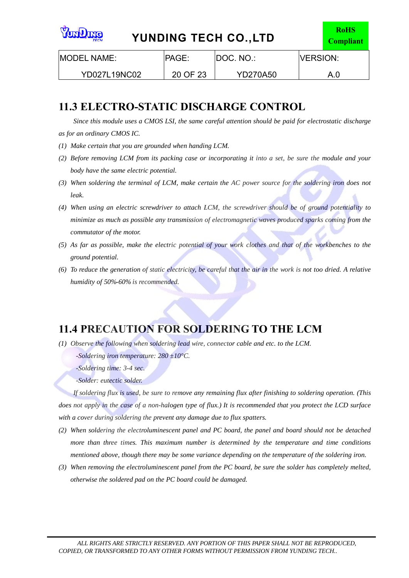| <b>emQraY</b><br>YUNDING TECH CO., LTD<br><b>TECH</b> |               |                 |                  |     |
|-------------------------------------------------------|---------------|-----------------|------------------|-----|
| <b>MODEL NAME:</b>                                    | <b>IPAGE:</b> | IDOC. NO.:      | <b>IVERSION:</b> |     |
| YD027L19NC02                                          | 20 OF 23      | <b>YD270A50</b> |                  | A.0 |

### **11.3 ELECTRO-STATIC DISCHARGE CONTROL**

*Since this module uses a CMOS LSI, the same careful attention should be paid for electrostatic discharge as for an ordinary CMOS IC.*

- *(1) Make certain that you are grounded when handing LCM.*
- *(2) Before removing LCM from its packing case or incorporating it into a set, be sure the module and your body have the same electric potential.*
- *(3) When soldering the terminal of LCM, make certain the AC power source for the soldering iron does not leak.*
- *(4) When using an electric screwdriver to attach LCM, the screwdriver should be of ground potentiality to minimize as much as possible any transmission of electromagnetic waves produced sparks coming from the commutator of the motor.*
- *(5) As far as possible, make the electric potential of your work clothes and that of the workbenches to the ground potential.*
- *(6) To reduce the generation of static electricity, be careful that the air in the work is not too dried. A relative humidity of 50%-60% is recommended.*

### **11.4 PRECAUTION FOR SOLDERING TO THE LCM**

*(1) Observe the following when soldering lead wire, connector cable and etc. to the LCM.*

 *-Soldering iron temperature: 280 ±10°C.*

 *-Soldering time: 3-4 sec.*

 *-Solder: eutectic solder.*

*If soldering flux is used, be sure to remove any remaining flux after finishing to soldering operation. (This does not apply in the case of a non-halogen type of flux.) It is recommended that you protect the LCD surface with a cover during soldering the prevent any damage due to flux spatters.*

- *(2) When soldering the electroluminescent panel and PC board, the panel and board should not be detached more than three times. This maximum number is determined by the temperature and time conditions mentioned above, though there may be some variance depending on the temperature of the soldering iron.*
- *(3) When removing the electroluminescent panel from the PC board, be sure the solder has completely melted, otherwise the soldered pad on the PC board could be damaged.*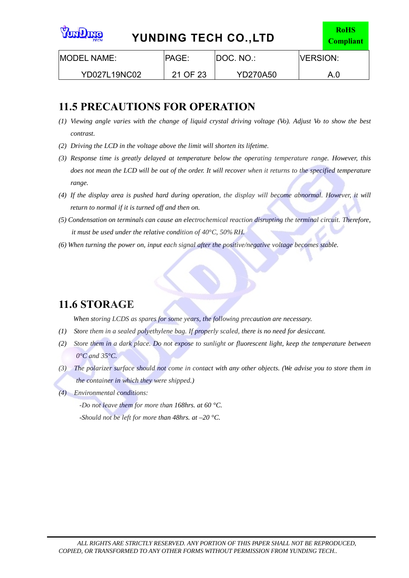| <b>SunQme</b><br><b>YUNDING TECH CO., LTD</b><br><b>TECH</b> |          |                 |                  |     |
|--------------------------------------------------------------|----------|-----------------|------------------|-----|
| <b>IMODEL NAME:</b>                                          | PAGE:    | IDOC. NO.:      | <b>IVERSION:</b> |     |
| <b>YD027L19NC02</b>                                          | 21 OF 23 | <b>YD270A50</b> |                  | A.0 |

### **11.5 PRECAUTIONS FOR OPERATION**

- *(1) Viewing angle varies with the change of liquid crystal driving voltage (Vo). Adjust Vo to show the best contrast.*
- *(2) Driving the LCD in the voltage above the limit will shorten its lifetime.*
- *(3) Response time is greatly delayed at temperature below the operating temperature range. However, this does not mean the LCD will be out of the order. It will recover when it returns to the specified temperature range.*
- *(4) If the display area is pushed hard during operation, the display will become abnormal. However, it will return to normal if it is turned off and then on.*
- *(5) Condensation on terminals can cause an electrochemical reaction disrupting the terminal circuit. Therefore, it must be used under the relative condition of 40°C, 50% RH.*
- *(6) When turning the power on, input each signal after the positive/negative voltage becomes stable.*

### **11.6 STORAGE**

*When storing LCDS as spares for some years, the following precaution are necessary.*

- *(1) Store them in a sealed polyethylene bag. If properly scaled, there is no need for desiccant.*
- *(2) Store them in a dark place. Do not expose to sunlight or fluorescent light, keep the temperature between 0°C and 35°C.*
- *(3) The polarizer surface should not come in contact with any other objects. (We advise you to store them in the container in which they were shipped.)*
- *(4) Environmental conditions:*

 *-Do not leave them for more than 168hrs. at 60 °C.*

 *-Should not be left for more than 48hrs. at –20 °C.*